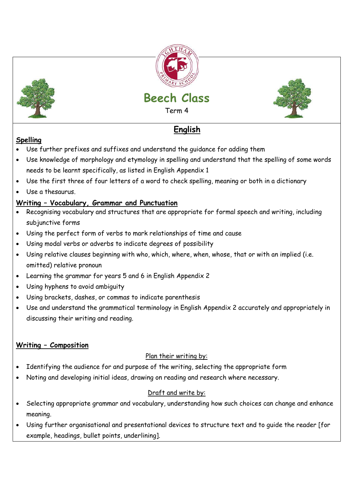







# **English**

### **Spelling**

- Use further prefixes and suffixes and understand the guidance for adding them
- Use knowledge of morphology and etymology in spelling and understand that the spelling of some words needs to be learnt specifically, as listed in English Appendix 1
- Use the first three of four letters of a word to check spelling, meaning or both in a dictionary
- Use a thesaurus.

## **Writing – Vocabulary, Grammar and Punctuation**

- Recognising vocabulary and structures that are appropriate for formal speech and writing, including subjunctive forms
- Using the perfect form of verbs to mark relationships of time and cause
- Using modal verbs or adverbs to indicate degrees of possibility
- Using relative clauses beginning with who, which, where, when, whose, that or with an implied (i.e. omitted) relative pronoun
- Learning the grammar for years 5 and 6 in English Appendix 2
- Using hyphens to avoid ambiguity
- Using brackets, dashes, or commas to indicate parenthesis
- Use and understand the grammatical terminology in English Appendix 2 accurately and appropriately in discussing their writing and reading.

# **Writing – Composition**

### Plan their writing by:

- Identifying the audience for and purpose of the writing, selecting the appropriate form
- Noting and developing initial ideas, drawing on reading and research where necessary.

### Draft and write by:

- Selecting appropriate grammar and vocabulary, understanding how such choices can change and enhance meaning.
- Using further organisational and presentational devices to structure text and to guide the reader [for example, headings, bullet points, underlining].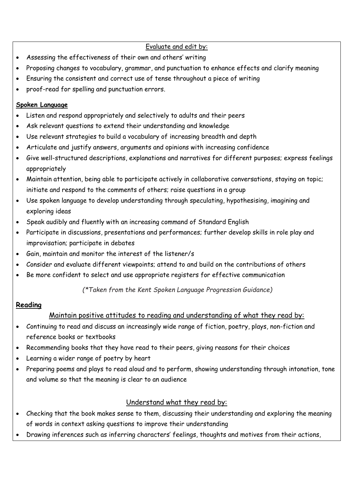#### Evaluate and edit by:

- Assessing the effectiveness of their own and others' writing
- Proposing changes to vocabulary, grammar, and punctuation to enhance effects and clarify meaning
- Ensuring the consistent and correct use of tense throughout a piece of writing
- proof-read for spelling and punctuation errors.

#### **Spoken Language**

- Listen and respond appropriately and selectively to adults and their peers
- Ask relevant questions to extend their understanding and knowledge
- Use relevant strategies to build a vocabulary of increasing breadth and depth
- Articulate and justify answers, arguments and opinions with increasing confidence
- Give well-structured descriptions, explanations and narratives for different purposes; express feelings appropriately
- Maintain attention, being able to participate actively in collaborative conversations, staying on topic; initiate and respond to the comments of others; raise questions in a group
- Use spoken language to develop understanding through speculating, hypothesising, imagining and exploring ideas
- Speak audibly and fluently with an increasing command of Standard English
- Participate in discussions, presentations and performances; further develop skills in role play and improvisation; participate in debates
- Gain, maintain and monitor the interest of the listener/s
- Consider and evaluate different viewpoints; attend to and build on the contributions of others
- Be more confident to select and use appropriate registers for effective communication

*(\*Taken from the Kent Spoken Language Progression Guidance)*

#### **Reading**

### Maintain positive attitudes to reading and understanding of what they read by:

- Continuing to read and discuss an increasingly wide range of fiction, poetry, plays, non-fiction and reference books or textbooks
- Recommending books that they have read to their peers, giving reasons for their choices
- Learning a wider range of poetry by heart
- Preparing poems and plays to read aloud and to perform, showing understanding through intonation, tone and volume so that the meaning is clear to an audience

### Understand what they read by:

- Checking that the book makes sense to them, discussing their understanding and exploring the meaning of words in context asking questions to improve their understanding
- Drawing inferences such as inferring characters' feelings, thoughts and motives from their actions,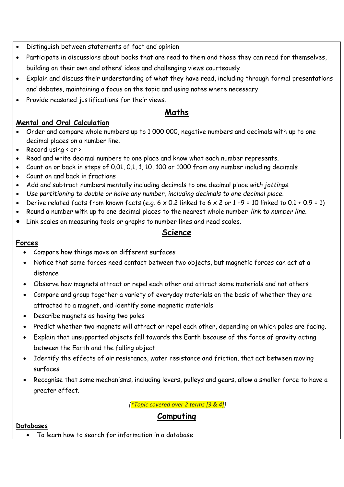- Distinguish between statements of fact and opinion
- Participate in discussions about books that are read to them and those they can read for themselves, building on their own and others' ideas and challenging views courteously
- Explain and discuss their understanding of what they have read, including through formal presentations and debates, maintaining a focus on the topic and using notes where necessary
- Provide reasoned justifications for their views.

# **Maths**

#### **Mental and Oral Calculation**

- Order and compare whole numbers up to 1 000 000, negative numbers and decimals with up to one decimal places on a number line.
- Record using  $\leftarrow$  or  $\rightarrow$
- Read and write decimal numbers to one place and know what each number represents.
- Count on or back in steps of 0.01, 0.1, 1, 10, 100 or 1000 from any number including decimals
- Count on and back in fractions
- Add and subtract numbers mentally including decimals to one decimal place *with jottings.*
- *Use partitioning to double or halve any number, including decimals to one decimal place.*
- Derive related facts from known facts (e.g.  $6 \times 0.2$  linked to  $6 \times 2$  or  $1 +9 = 10$  linked to  $0.1 + 0.9 = 1$ )
- Round a number with up to one decimal places to the nearest whole number*-link to number line.*
- Link scales on measuring tools or graphs to number lines and read scales.

### **Science**

#### **Forces**

- Compare how things move on different surfaces
- Notice that some forces need contact between two objects, but magnetic forces can act at a distance
- Observe how magnets attract or repel each other and attract some materials and not others
- Compare and group together a variety of everyday materials on the basis of whether they are attracted to a magnet, and identify some magnetic materials
- Describe magnets as having two poles
- Predict whether two magnets will attract or repel each other, depending on which poles are facing.
- Explain that unsupported objects fall towards the Earth because of the force of gravity acting between the Earth and the falling object
- Identify the effects of air resistance, water resistance and friction, that act between moving surfaces
- Recognise that some mechanisms, including levers, pulleys and gears, allow a smaller force to have a greater effect.

*(\*Topic covered over 2 terms [3 & 4])*

### **Computing**

#### **Databases**

To learn how to search for information in a database